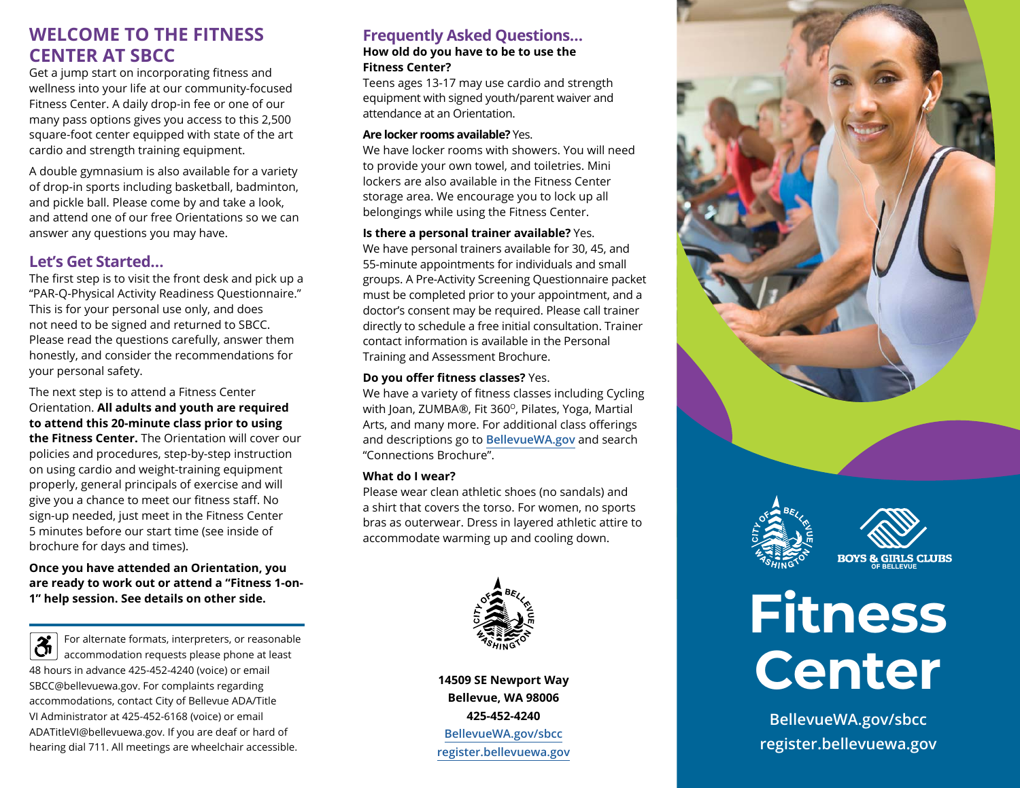# **WELCOME TO THE FITNESS CENTER AT SBCC**

Get a jump start on incorporating fitness and wellness into your life at our community-focused Fitness Center. A daily drop-in fee or one of our many pass options gives you access to this 2,500 square-foot center equipped with state of the art cardio and strength training equipment.

A double gymnasium is also available for a variety of drop-in sports including basketball, badminton, and pickle ball. Please come by and take a look, and attend one of our free Orientations so we can answer any questions you may have.

## **Let's Get Started…**

The first step is to visit the front desk and pick up a "PAR-Q-Physical Activity Readiness Questionnaire." This is for your personal use only, and does not need to be signed and returned to SBCC. Please read the questions carefully, answer them honestly, and consider the recommendations for your personal safety.

The next step is to attend a Fitness Center Orientation. **All adults and youth are required to attend this 20-minute class prior to using the Fitness Center.** The Orientation will cover our policies and procedures, step-by-step instruction on using cardio and weight-training equipment properly, general principals of exercise and will give you a chance to meet our fitness staff. No sign-up needed, just meet in the Fitness Center 5 minutes before our start time (see inside of brochure for days and times).

**Once you have attended an Orientation, you are ready to work out or attend a "Fitness 1-on-1" help session. See details on other side.** 

 $\overline{\mathfrak{F}}$ For alternate formats, interpreters, or reasonable accommodation requests please phone at least 48 hours in advance 425-452-4240 (voice) or email SBCC@bellevuewa.gov. For complaints regarding accommodations, contact City of Bellevue ADA/Title VI Administrator at 425-452-6168 (voice) or email ADATitleVI@bellevuewa.gov. If you are deaf or hard of hearing dial 711. All meetings are wheelchair accessible.

# **Frequently Asked Questions…**

### **How old do you have to be to use the Fitness Center?**

Teens ages 13-17 may use cardio and strength equipment with signed youth/parent waiver and attendance at an Orientation.

### **Are locker rooms available?** Yes.

We have locker rooms with showers. You will need to provide your own towel, and toiletries. Mini lockers are also available in the Fitness Center storage area. We encourage you to lock up all belongings while using the Fitness Center.

### **Is there a personal trainer available?** Yes.

We have personal trainers available for 30, 45, and 55-minute appointments for individuals and small groups. A Pre-Activity Screening Questionnaire packet must be completed prior to your appointment, and a doctor's consent may be required. Please call trainer directly to schedule a free initial consultation. Trainer contact information is available in the Personal Training and Assessment Brochure.

### **Do you offer fitness classes?** Yes.

We have a variety of fitness classes including Cycling with Joan, ZUMBA®, Fit 360°, Pilates, Yoga, Martial Arts, and many more. For additional class offerings and descriptions go to **[BellevueWA.gov](https://bellevuewa.gov/)** and search "Connections Brochure".

### **What do I wear?**

Please wear clean athletic shoes (no sandals) and a shirt that covers the torso. For women, no sports bras as outerwear. Dress in layered athletic attire to accommodate warming up and cooling down.



**14509 SE Newport Way Bellevue, WA 98006 425-452-4240 [BellevueWA.gov/sbcc](https://bellevuewa.gov/city-government/departments/parks/community-centers/sbcc) [register.bellevuewa.gov](https://register.bellevuewa.gov/php/onlinereg/#/bvuewa/login)**





**BOYS & GIRLS CLUBS** 



**[BellevueWA.gov/sbcc](https://bellevuewa.gov/city-government/departments/parks/community-centers/sbcc) [register.bellevuewa.gov](https://register.bellevuewa.gov/php/onlinereg/#/bvuewa/login)**